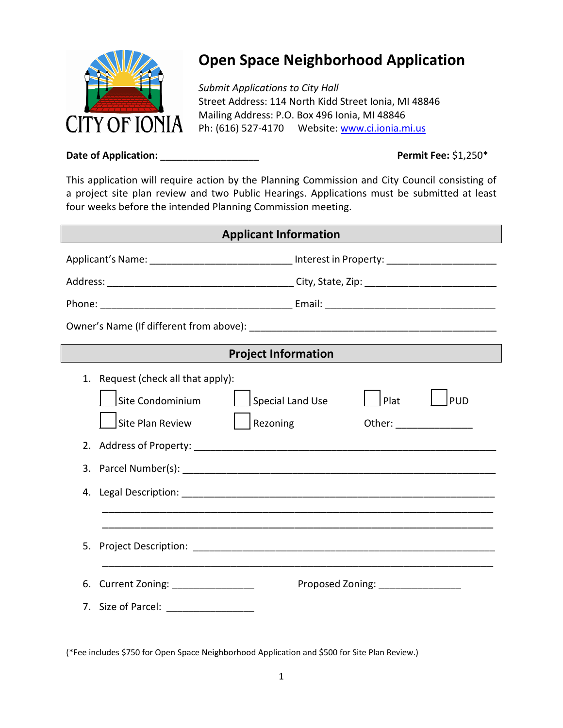

## **Open Space Neighborhood Application**

*Submit Applications to City Hall* Street Address: 114 North Kidd Street Ionia, MI 48846 Mailing Address: P.O. Box 496 Ionia, MI 48846 Ph: (616) 527-4170 Website: [www.ci.ionia.mi.us](http://www.ci.ionia.mi.us/)

## **Date of Application:** \_\_\_\_\_\_\_\_\_\_\_\_\_\_\_\_\_\_ **Permit Fee:** \$1,250\*

This application will require action by the Planning Commission and City Council consisting of a project site plan review and two Public Hearings. Applications must be submitted at least four weeks before the intended Planning Commission meeting.

| <b>Applicant Information</b> |                                                                                                                                                                  |  |  |  |
|------------------------------|------------------------------------------------------------------------------------------------------------------------------------------------------------------|--|--|--|
|                              | Applicant's Name: ________________________________ Interest in Property: __________________________                                                              |  |  |  |
|                              |                                                                                                                                                                  |  |  |  |
|                              |                                                                                                                                                                  |  |  |  |
|                              |                                                                                                                                                                  |  |  |  |
| <b>Project Information</b>   |                                                                                                                                                                  |  |  |  |
| 1.<br>2.<br>4.               | Request (check all that apply):<br><b>PUD</b><br>Site Condominium<br>Plat<br><b>Special Land Use</b><br>Site Plan Review<br>Rezoning<br>Other: _________________ |  |  |  |
| 5.                           |                                                                                                                                                                  |  |  |  |
| 6.                           | Current Zoning: _________________<br>Proposed Zoning: _________________<br>7. Size of Parcel: ________________                                                   |  |  |  |
|                              |                                                                                                                                                                  |  |  |  |

(\*Fee includes \$750 for Open Space Neighborhood Application and \$500 for Site Plan Review.)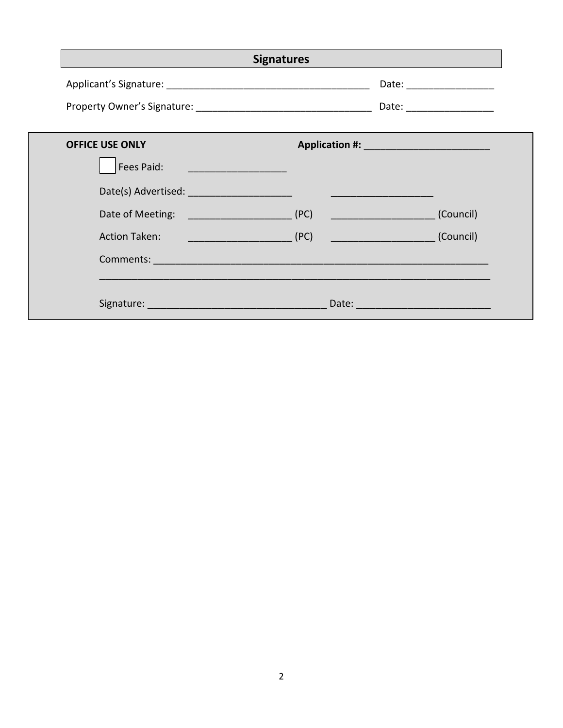|                                             |                                                         | Date: ____________________    |
|---------------------------------------------|---------------------------------------------------------|-------------------------------|
|                                             |                                                         |                               |
| <b>OFFICE USE ONLY</b>                      |                                                         |                               |
| Fees Paid:<br><u> Andrew Maria (1989)</u>   |                                                         |                               |
| Date(s) Advertised: _______________________ |                                                         |                               |
| Date of Meeting: The Contract of Meeting:   | (PC)<br><u> 1990 - Johann Barnett, fransk politik (</u> | (Council)                     |
| <b>Action Taken:</b>                        | (PC)                                                    | <b>Example 2018</b> (Council) |
|                                             |                                                         |                               |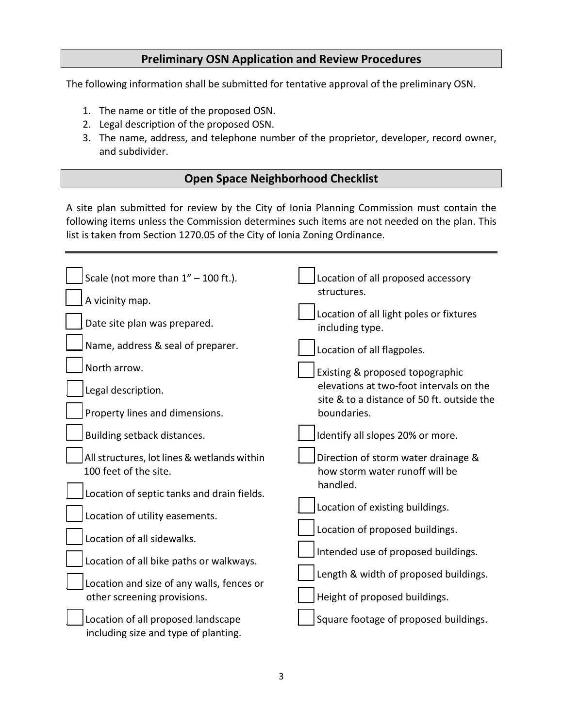## **Preliminary OSN Application and Review Procedures**

The following information shall be submitted for tentative approval of the preliminary OSN.

- 1. The name or title of the proposed OSN.
- 2. Legal description of the proposed OSN.
- 3. The name, address, and telephone number of the proprietor, developer, record owner, and subdivider.

## **Open Space Neighborhood Checklist**

A site plan submitted for review by the City of Ionia Planning Commission must contain the following items unless the Commission determines such items are not needed on the plan. This list is taken from Section 1270.05 of the City of Ionia Zoning Ordinance.

| Scale (not more than $1'' - 100$ ft.).                                     | Location of all proposed accessory<br>structures.                                     |  |  |
|----------------------------------------------------------------------------|---------------------------------------------------------------------------------------|--|--|
| A vicinity map.                                                            |                                                                                       |  |  |
| Date site plan was prepared.                                               | Location of all light poles or fixtures<br>including type.                            |  |  |
| Name, address & seal of preparer.                                          | Location of all flagpoles.                                                            |  |  |
| North arrow.                                                               | Existing & proposed topographic                                                       |  |  |
| Legal description.                                                         | elevations at two-foot intervals on the<br>site & to a distance of 50 ft. outside the |  |  |
| Property lines and dimensions.                                             | boundaries.                                                                           |  |  |
| Building setback distances.                                                | Identify all slopes 20% or more.                                                      |  |  |
| All structures, lot lines & wetlands within<br>100 feet of the site.       | Direction of storm water drainage &<br>how storm water runoff will be                 |  |  |
| Location of septic tanks and drain fields.                                 | handled.                                                                              |  |  |
| Location of utility easements.                                             | Location of existing buildings.                                                       |  |  |
| Location of all sidewalks.                                                 | Location of proposed buildings.                                                       |  |  |
| Location of all bike paths or walkways.                                    | Intended use of proposed buildings.                                                   |  |  |
|                                                                            | Length & width of proposed buildings.                                                 |  |  |
| Location and size of any walls, fences or<br>other screening provisions.   | Height of proposed buildings.                                                         |  |  |
| Location of all proposed landscape<br>including size and type of planting. | Square footage of proposed buildings.                                                 |  |  |